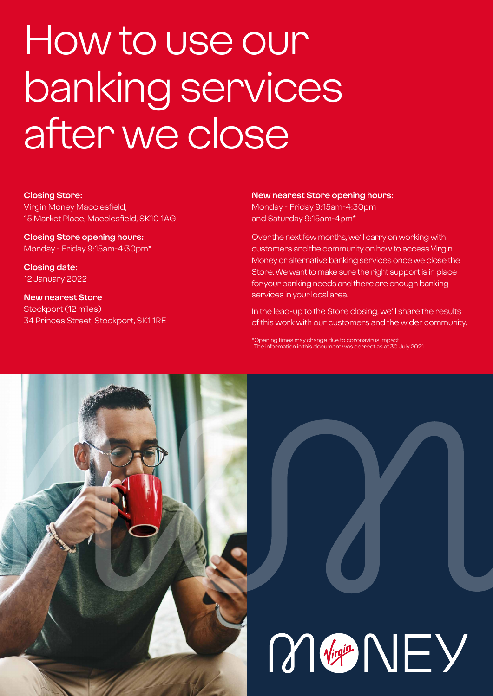# How to use our banking services after we close

#### **Closing Store:**

Virgin Money Macclesfield, 15 Market Place, Macclesfield, SK10 1AG

**Closing Store opening hours:**  Monday - Friday 9:15am-4:30pm\*

**Closing date:**  12 January 2022

**New nearest Store** Stockport (12 miles) 34 Princes Street, Stockport, SK1 1RE

#### **New nearest Store opening hours:**

Monday - Friday 9:15am-4:30pm and Saturday 9:15am-4pm\*

Over the next few months, we'll carry on working with customers and the community on how to access Virgin Money or alternative banking services once we close the Store. We want to make sure the right support is in place for your banking needs and there are enough banking services in your local area.

In the lead-up to the Store closing, we'll share the results of this work with our customers and the wider community.

\*Opening times may change due to coronavirus impact The information in this document was correct as at 30 July 2021



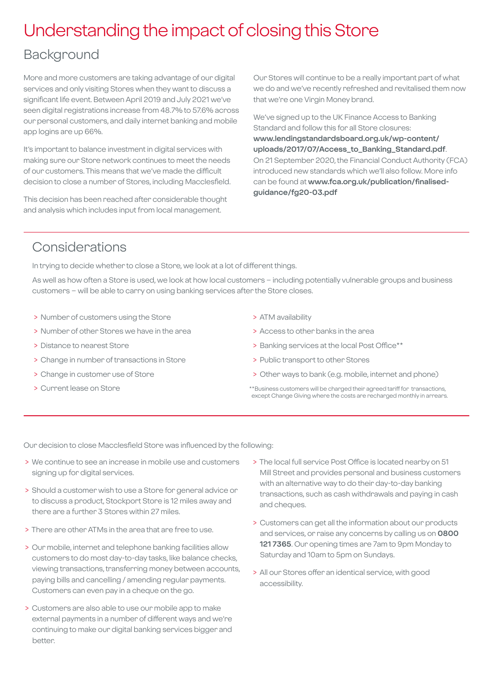## Understanding the impact of closing this Store

## Background

More and more customers are taking advantage of our digital services and only visiting Stores when they want to discuss a significant life event. Between April 2019 and July 2021 we've seen digital registrations increase from 48.7% to 57.6% across our personal customers, and daily internet banking and mobile app logins are up 66%.

It's important to balance investment in digital services with making sure our Store network continues to meet the needs of our customers. This means that we've made the difficult decision to close a number of Stores, including Macclesfield.

This decision has been reached after considerable thought and analysis which includes input from local management.

Our Stores will continue to be a really important part of what we do and we've recently refreshed and revitalised them now that we're one Virgin Money brand.

We've signed up to the UK Finance Access to Banking Standard and follow this for all Store closures: **[www.lendingstandardsboard.org.uk/wp-content/](http://www.lendingstandardsboard.org.uk/wp-content/uploads/2017/07/Access_to_Banking_Standard.pdf) [uploads/2017/07/Access\\_to\\_Banking\\_Standard.pdf](http://www.lendingstandardsboard.org.uk/wp-content/uploads/2017/07/Access_to_Banking_Standard.pdf)**. On 21 September 2020, the Financial Conduct Authority (FCA) introduced new standards which we'll also follow. More info can be found at **[www.fca.org.uk/publication/finalised](http://www.fca.org.uk/publication/finalised-guidance/fg20-03.pdf)[guidance/fg20-03.pdf](http://www.fca.org.uk/publication/finalised-guidance/fg20-03.pdf)**

## Considerations

In trying to decide whether to close a Store, we look at a lot of different things.

As well as how often a Store is used, we look at how local customers – including potentially vulnerable groups and business customers – will be able to carry on using banking services after the Store closes.

- > Number of customers using the Store
- > Number of other Stores we have in the area
- > Distance to nearest Store
- > Change in number of transactions in Store
- > Change in customer use of Store
- > Current lease on Store
- > ATM availability
- > Access to other banks in the area
- > Banking services at the local Post Office\*\*
- > Public transport to other Stores
- > Other ways to bank (e.g. mobile, internet and phone)
- \*\*Business customers will be charged their agreed tariff for transactions, except Change Giving where the costs are recharged monthly in arrears.

Our decision to close Macclesfield Store was influenced by the following:

- > We continue to see an increase in mobile use and customers signing up for digital services.
- > Should a customer wish to use a Store for general advice or to discuss a product, Stockport Store is 12 miles away and there are a further 3 Stores within 27 miles.
- > There are other ATMs in the area that are free to use.
- > Our mobile, internet and telephone banking facilities allow customers to do most day-to-day tasks, like balance checks, viewing transactions, transferring money between accounts, paying bills and cancelling / amending regular payments. Customers can even pay in a cheque on the go.
- > Customers are also able to use our mobile app to make external payments in a number of different ways and we're continuing to make our digital banking services bigger and better.
- > The local full service Post Office is located nearby on 51 Mill Street and provides personal and business customers with an alternative way to do their day-to-day banking transactions, such as cash withdrawals and paying in cash and cheques.
- > Customers can get all the information about our products and services, or raise any concerns by calling us on **0800 121 7365**. Our opening times are 7am to 9pm Monday to Saturday and 10am to 5pm on Sundays.
- > All our Stores offer an identical service, with good accessibility.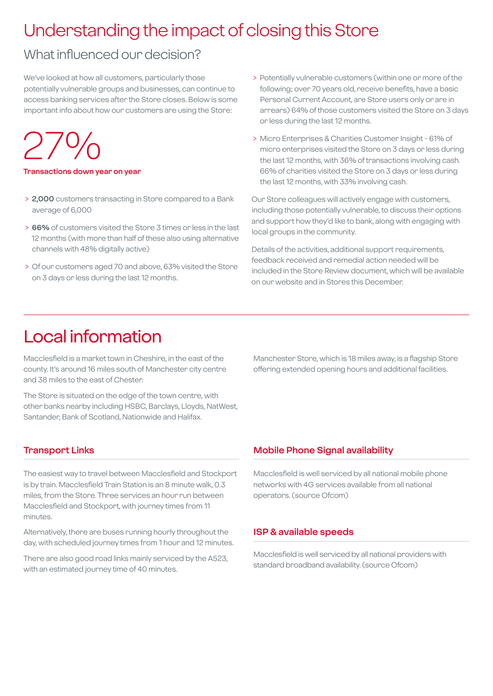## Understanding the impact of closing this Store

## What influenced our decision?

We've looked at how all customers, particularly those potentially vulnerable groups and businesses, can continue to access banking services after the Store closes. Below is some important info about how our customers are using the Store:

27%

**Transactions down year on year**

- > **2,000** customers transacting in Store compared to a Bank average of 6,000
- > **66%** of customers visited the Store 3 times or less in the last 12 months (with more than half of these also using alternative channels with 48% digitally active)
- > Of our customers aged 70 and above, 63% visited the Store on 3 days or less during the last 12 months.
- > Potentially vulnerable customers (within one or more of the following; over 70 years old, receive benefits, have a basic Personal Current Account, are Store users only or are in arrears) 64% of those customers visited the Store on 3 days or less during the last 12 months.
- > Micro Enterprises & Charities Customer Insight 61% of micro enterprises visited the Store on 3 days or less during the last 12 months, with 36% of transactions involving cash. 66% of charities visited the Store on 3 days or less during the last 12 months, with 33% involving cash.

Our Store colleagues will actively engage with customers, including those potentially vulnerable, to discuss their options and support how they'd like to bank, along with engaging with local groups in the community.

Details of the activities, additional support requirements, feedback received and remedial action needed will be included in the Store Review document, which will be available on our website and in Stores this December.

## Local information

Macclesfield is a market town in Cheshire, in the east of the county. It's around 16 miles south of Manchester city centre and 38 miles to the east of Chester.

The Store is situated on the edge of the town centre, with other banks nearby including HSBC, Barclays, Lloyds, NatWest, Santander, Bank of Scotland, Nationwide and Halifax.

#### Manchester Store, which is 18 miles away, is a flagship Store offering extended opening hours and additional facilities.

#### **Transport Links**

The easiest way to travel between Macclesfield and Stockport is by train. Macclesfield Train Station is an 8 minute walk, 0.3 miles, from the Store. Three services an hour run between Macclesfield and Stockport, with journey times from 11 minutes.

Alternatively, there are buses running hourly throughout the day, with scheduled journey times from 1 hour and 12 minutes.

There are also good road links mainly serviced by the A523, with an estimated journey time of 40 minutes.

#### **Mobile Phone Signal availability**

Macclesfield is well serviced by all national mobile phone networks with 4G services available from all national operators. (source Ofcom)

#### **ISP & available speeds**

Macclesfield is well serviced by all national providers with standard broadband availability. (source Ofcom)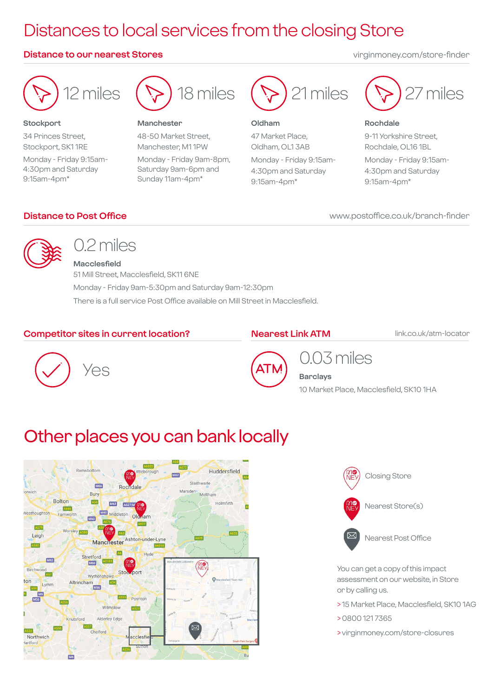## Distances to local services from the closing Store

#### **Distance to our nearest Stores** virginmoney.com/store-finder

12 miles

18 miles

#### **Manchester**

48-50 Market Street, Manchester, M1 1PW Monday - Friday 9am-8pm, Saturday 9am-6pm and Sunday 11am-4pm\*



#### **Oldham**

47 Market Place, Oldham, OL1 3AB Monday - Friday 9:15am-4:30pm and Saturday 9:15am-4pm\*





#### **Rochdale**

9-11 Yorkshire Street, Rochdale, OL16 1BL Monday - Friday 9:15am-4:30pm and Saturday 9:15am-4pm\*

www.postoffice.co.uk/branch-finder

#### **Distance to Post Office**



**Stockport**

9:15am-4pm\*

34 Princes Street, Stockport, SK1 1RE Monday - Friday 9:15am-4:30pm and Saturday

## 0.2 miles

**Macclesfield** 51 Mill Street, Macclesfield, SK11 6NE Monday - Friday 9am-5:30pm and Saturday 9am-12:30pm There is a full service Post Office available on Mill Street in Macclesfield.

#### **Competitor sites in current location?**

#### **Nearest Link ATM**

link.co.uk/atm-locator





0.03 miles

**Barclays** 10 Market Place, Macclesfield, SK10 1HA

## Other places you can bank locally





You can get a copy of this impact assessment on our website, in Store or by calling us.

- > 15 Market Place, Macclesfield, SK10 1AG
- > 0800 121 7365
- > virginmoney.com/store-closures